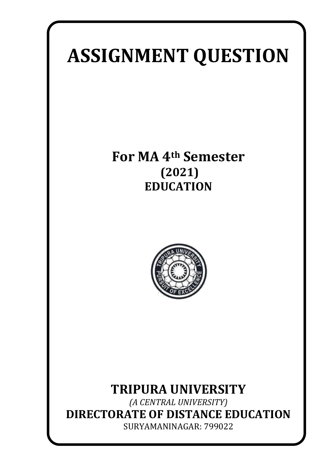# **ASSIGNMENT QUESTION**

# **For MA 4th Semester (2021) EDUCATION**



## **TRIPURA UNIVERSITY**

*(A CENTRAL UNIVERSITY)* **DIRECTORATE OF DISTANCE EDUCATION** SURYAMANINAGAR: 799022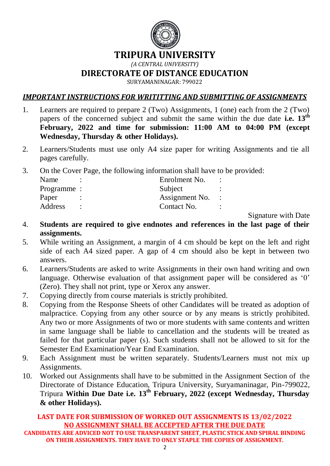

## **TRIPURA UNIVERSITY**

*(A CENTRAL UNIVERSITY)*

**DIRECTORATE OF DISTANCE EDUCATION**

SURYAMANINAGAR: 799022

#### *IMPORTANT INSTRUCTIONS FOR WRITITTING AND SUBMITTING OF ASSIGNMENTS*

- 1. Learners are required to prepare 2 (Two) Assignments, 1 (one) each from the 2 (Two) papers of the concerned subject and submit the same within the due date **i.e. 13th February, 2022 and time for submission: 11:00 AM to 04:00 PM (except Wednesday, Thursday & other Holidays).**
- 2. Learners/Students must use only A4 size paper for writing Assignments and tie all pages carefully.
- 3. On the Cover Page, the following information shall have to be provided:

| Name        |                | Enrolment No.  |  |
|-------------|----------------|----------------|--|
| Programme : |                | Subject        |  |
| Paper       |                | Assignment No. |  |
| Address     | $\ddot{\cdot}$ | Contact No.    |  |
|             |                |                |  |

Signature with Date

- 4. **Students are required to give endnotes and references in the last page of their assignments.**
- 5. While writing an Assignment, a margin of 4 cm should be kept on the left and right side of each A4 sized paper. A gap of 4 cm should also be kept in between two answers.
- 6. Learners/Students are asked to write Assignments in their own hand writing and own language. Otherwise evaluation of that assignment paper will be considered as '0' (Zero). They shall not print, type or Xerox any answer.
- 7. Copying directly from course materials is strictly prohibited.
- 8. Copying from the Response Sheets of other Candidates will be treated as adoption of malpractice. Copying from any other source or by any means is strictly prohibited. Any two or more Assignments of two or more students with same contents and written in same language shall be liable to cancellation and the students will be treated as failed for that particular paper (s). Such students shall not be allowed to sit for the Semester End Examination/Year End Examination.
- 9. Each Assignment must be written separately. Students/Learners must not mix up Assignments.
- 10. Worked out Assignments shall have to be submitted in the Assignment Section of the Directorate of Distance Education, Tripura University, Suryamaninagar, Pin-799022, Tripura **Within Due Date i.e. 13th February, 2022 (except Wednesday, Thursday & other Holidays).**

#### **LAST DATE FOR SUBMISSION OF WORKED OUT ASSIGNMENTS IS 13/02/2022 NO ASSIGNMENT SHALL BE ACCEPTED AFTER THE DUE DATE**

**CANDIDATES ARE ADVICED NOT TO USE TRANSPARENT SHEET, PLASTIC STICK AND SPIRAL BINDING ON THEIR ASSIGNMENTS. THEY HAVE TO ONLY STAPLE THE COPIES OF ASSIGNMENT.**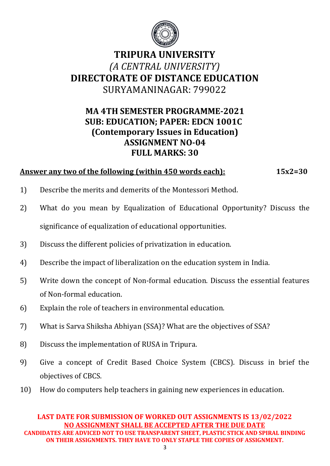

## **TRIPURA UNIVERSITY**  *(A CENTRAL UNIVERSITY)*  **DIRECTORATE OF DISTANCE EDUCATION** SURYAMANINAGAR: 799022

## **MA 4TH SEMESTER PROGRAMME-2021 SUB: EDUCATION; PAPER: EDCN 1001C (Contemporary Issues in Education) ASSIGNMENT NO-04 FULL MARKS: 30**

### **Answer any two of the following (within 450 words each): 15x2=30**

- 1) Describe the merits and demerits of the Montessori Method.
- 2) What do you mean by Equalization of Educational Opportunity? Discuss the significance of equalization of educational opportunities.
- 3) Discuss the different policies of privatization in education.
- 4) Describe the impact of liberalization on the education system in India.
- 5) Write down the concept of Non-formal education. Discuss the essential features of Non-formal education.
- 6) Explain the role of teachers in environmental education.
- 7) What is Sarva Shiksha Abhiyan (SSA)? What are the objectives of SSA?
- 8) Discuss the implementation of RUSA in Tripura.
- 9) Give a concept of Credit Based Choice System (CBCS). Discuss in brief the objectives of CBCS.
- 10) How do computers help teachers in gaining new experiences in education.

#### **LAST DATE FOR SUBMISSION OF WORKED OUT ASSIGNMENTS IS 13/02/2022 NO ASSIGNMENT SHALL BE ACCEPTED AFTER THE DUE DATE CANDIDATES ARE ADVICED NOT TO USE TRANSPARENT SHEET, PLASTIC STICK AND SPIRAL BINDING ON THEIR ASSIGNMENTS. THEY HAVE TO ONLY STAPLE THE COPIES OF ASSIGNMENT.**